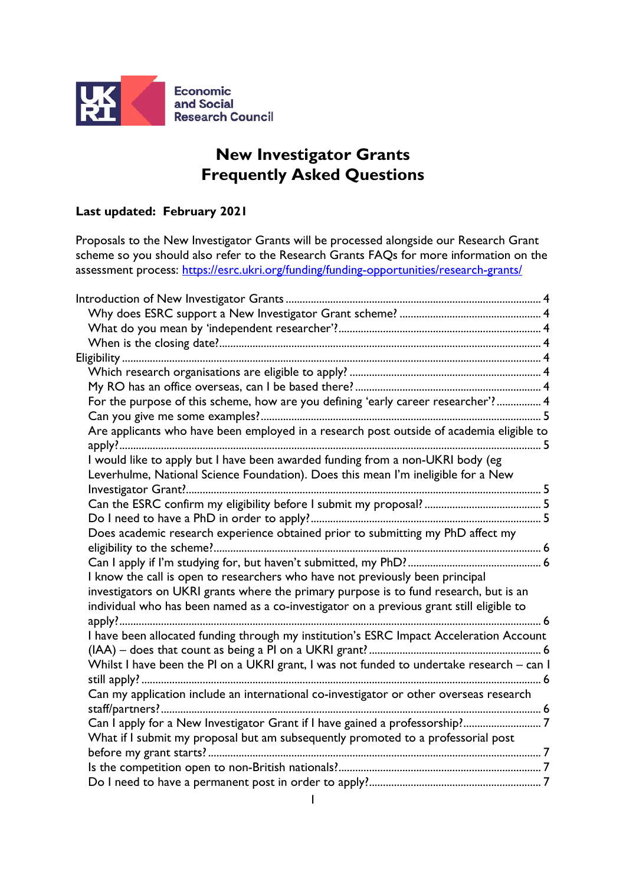

# **New Investigator Grants Frequently Asked Questions**

## **Last updated: February 2021**

Proposals to the New Investigator Grants will be processed alongside our Research Grant scheme so you should also refer to the Research Grants FAQs for more information on the assessment process:<https://esrc.ukri.org/funding/funding-opportunities/research-grants/>

| For the purpose of this scheme, how are you defining 'early career researcher'? 4         |  |
|-------------------------------------------------------------------------------------------|--|
|                                                                                           |  |
| Are applicants who have been employed in a research post outside of academia eligible to  |  |
| I would like to apply but I have been awarded funding from a non-UKRI body (eg            |  |
| Leverhulme, National Science Foundation). Does this mean I'm ineligible for a New         |  |
|                                                                                           |  |
|                                                                                           |  |
|                                                                                           |  |
| Does academic research experience obtained prior to submitting my PhD affect my           |  |
|                                                                                           |  |
|                                                                                           |  |
| I know the call is open to researchers who have not previously been principal             |  |
| investigators on UKRI grants where the primary purpose is to fund research, but is an     |  |
| individual who has been named as a co-investigator on a previous grant still eligible to  |  |
|                                                                                           |  |
| I have been allocated funding through my institution's ESRC Impact Acceleration Account   |  |
|                                                                                           |  |
| Whilst I have been the PI on a UKRI grant, I was not funded to undertake research - can I |  |
|                                                                                           |  |
| Can my application include an international co-investigator or other overseas research    |  |
|                                                                                           |  |
| Can I apply for a New Investigator Grant if I have gained a professorship?7               |  |
| What if I submit my proposal but am subsequently promoted to a professorial post          |  |
|                                                                                           |  |
|                                                                                           |  |
|                                                                                           |  |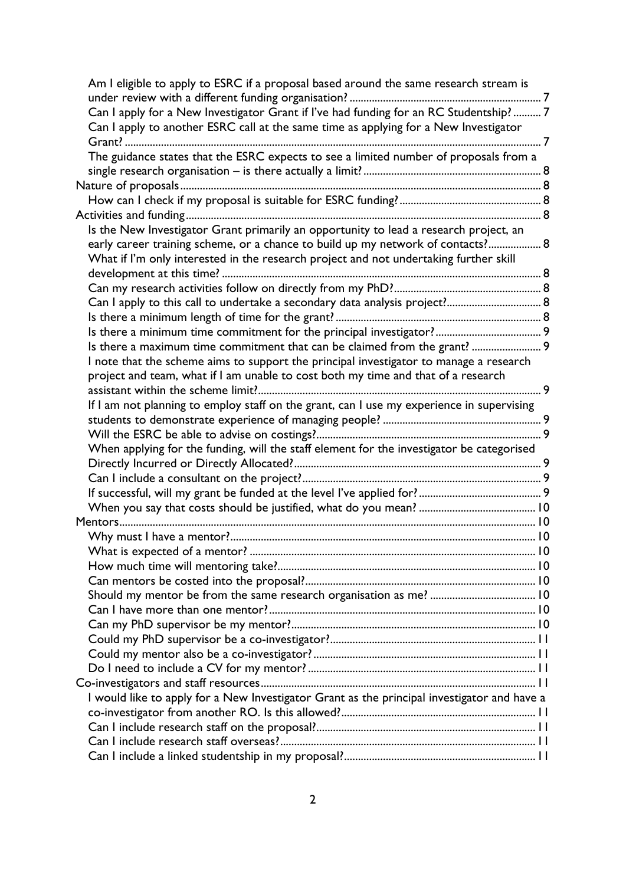| Am I eligible to apply to ESRC if a proposal based around the same research stream is       |  |
|---------------------------------------------------------------------------------------------|--|
| Can I apply for a New Investigator Grant if I've had funding for an RC Studentship?7        |  |
| Can I apply to another ESRC call at the same time as applying for a New Investigator        |  |
|                                                                                             |  |
| The guidance states that the ESRC expects to see a limited number of proposals from a       |  |
|                                                                                             |  |
|                                                                                             |  |
|                                                                                             |  |
|                                                                                             |  |
|                                                                                             |  |
| Is the New Investigator Grant primarily an opportunity to lead a research project, an       |  |
| early career training scheme, or a chance to build up my network of contacts? 8             |  |
| What if I'm only interested in the research project and not undertaking further skill       |  |
|                                                                                             |  |
|                                                                                             |  |
| Can I apply to this call to undertake a secondary data analysis project? 8                  |  |
|                                                                                             |  |
|                                                                                             |  |
| Is there a maximum time commitment that can be claimed from the grant?  9                   |  |
| I note that the scheme aims to support the principal investigator to manage a research      |  |
| project and team, what if I am unable to cost both my time and that of a research           |  |
|                                                                                             |  |
| If I am not planning to employ staff on the grant, can I use my experience in supervising   |  |
|                                                                                             |  |
|                                                                                             |  |
| When applying for the funding, will the staff element for the investigator be categorised   |  |
|                                                                                             |  |
|                                                                                             |  |
|                                                                                             |  |
|                                                                                             |  |
|                                                                                             |  |
|                                                                                             |  |
|                                                                                             |  |
|                                                                                             |  |
|                                                                                             |  |
|                                                                                             |  |
|                                                                                             |  |
|                                                                                             |  |
|                                                                                             |  |
|                                                                                             |  |
|                                                                                             |  |
|                                                                                             |  |
|                                                                                             |  |
| I would like to apply for a New Investigator Grant as the principal investigator and have a |  |
|                                                                                             |  |
|                                                                                             |  |
|                                                                                             |  |
|                                                                                             |  |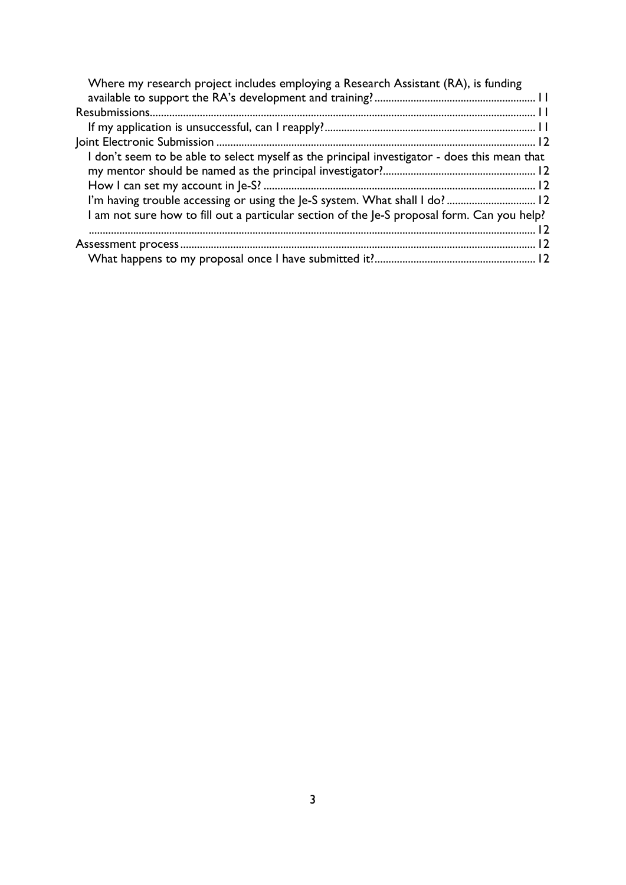| Where my research project includes employing a Research Assistant (RA), is funding           |  |
|----------------------------------------------------------------------------------------------|--|
|                                                                                              |  |
|                                                                                              |  |
|                                                                                              |  |
| I don't seem to be able to select myself as the principal investigator - does this mean that |  |
|                                                                                              |  |
|                                                                                              |  |
| I'm having trouble accessing or using the Je-S system. What shall I do? 12                   |  |
| I am not sure how to fill out a particular section of the Je-S proposal form. Can you help?  |  |
|                                                                                              |  |
|                                                                                              |  |
|                                                                                              |  |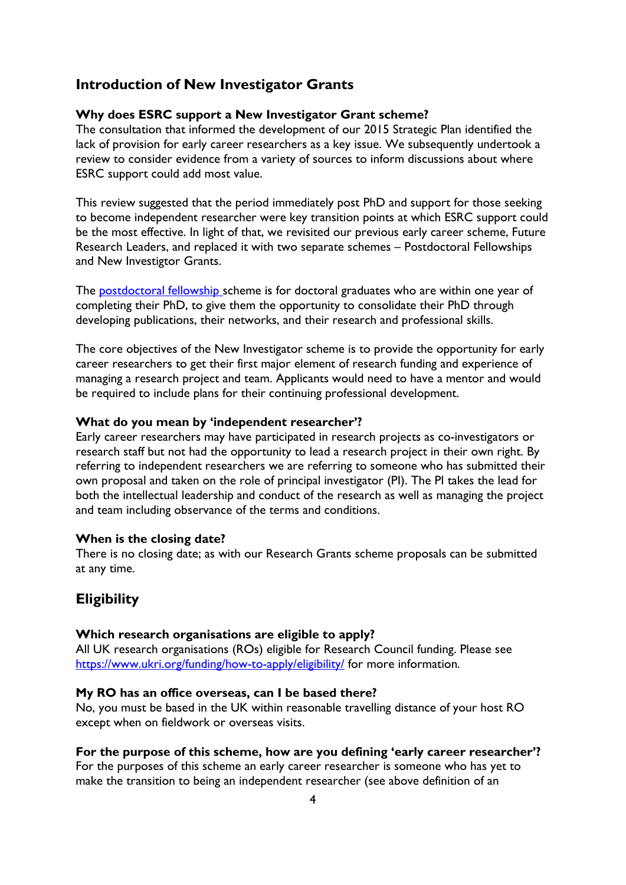## <span id="page-3-0"></span>**Introduction of New Investigator Grants**

#### <span id="page-3-1"></span>**Why does ESRC support a New Investigator Grant scheme?**

The consultation that informed the development of our 2015 Strategic Plan identified the lack of provision for early career researchers as a key issue. We subsequently undertook a review to consider evidence from a variety of sources to inform discussions about where ESRC support could add most value.

This review suggested that the period immediately post PhD and support for those seeking to become independent researcher were key transition points at which ESRC support could be the most effective. In light of that, we revisited our previous early career scheme, Future Research Leaders, and replaced it with two separate schemes – Postdoctoral Fellowships and New Investigtor Grants.

The **postdoctoral fellowship** scheme is for doctoral graduates who are within one year of completing their PhD, to give them the opportunity to consolidate their PhD through developing publications, their networks, and their research and professional skills.

The core objectives of the New Investigator scheme is to provide the opportunity for early career researchers to get their first major element of research funding and experience of managing a research project and team. Applicants would need to have a mentor and would be required to include plans for their continuing professional development.

### <span id="page-3-2"></span>**What do you mean by 'independent researcher'?**

Early career researchers may have participated in research projects as co-investigators or research staff but not had the opportunity to lead a research project in their own right. By referring to independent researchers we are referring to someone who has submitted their own proposal and taken on the role of principal investigator (PI). The PI takes the lead for both the intellectual leadership and conduct of the research as well as managing the project and team including observance of the terms and conditions.

### <span id="page-3-3"></span>**When is the closing date?**

There is no closing date; as with our Research Grants scheme proposals can be submitted at any time.

## <span id="page-3-4"></span>**Eligibility**

#### <span id="page-3-5"></span>**Which research organisations are eligible to apply?**

All UK research organisations (ROs) eligible for Research Council funding. Please see <https://www.ukri.org/funding/how-to-apply/eligibility/> for more information.

#### <span id="page-3-6"></span>**My RO has an office overseas, can I be based there?**

No, you must be based in the UK within reasonable travelling distance of your host RO except when on fieldwork or overseas visits.

#### <span id="page-3-7"></span>**For the purpose of this scheme, how are you defining 'early career researcher'?**

For the purposes of this scheme an early career researcher is someone who has yet to make the transition to being an independent researcher (see above definition of an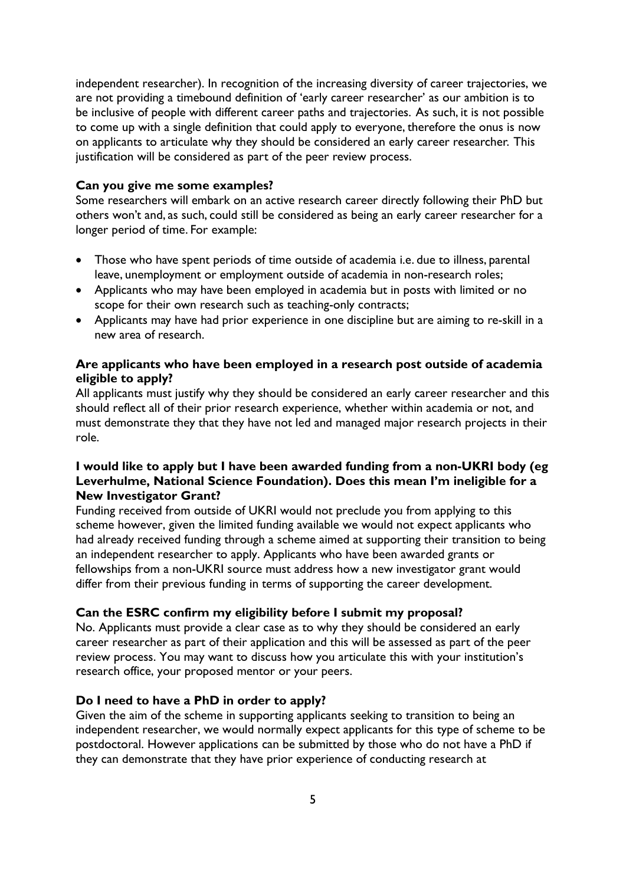independent researcher). In recognition of the increasing diversity of career trajectories, we are not providing a timebound definition of 'early career researcher' as our ambition is to be inclusive of people with different career paths and trajectories. As such, it is not possible to come up with a single definition that could apply to everyone, therefore the onus is now on applicants to articulate why they should be considered an early career researcher. This justification will be considered as part of the peer review process.

#### <span id="page-4-0"></span>**Can you give me some examples?**

Some researchers will embark on an active research career directly following their PhD but others won't and, as such, could still be considered as being an early career researcher for a longer period of time. For example:

- Those who have spent periods of time outside of academia i.e. due to illness, parental leave, unemployment or employment outside of academia in non-research roles;
- Applicants who may have been employed in academia but in posts with limited or no scope for their own research such as teaching-only contracts;
- Applicants may have had prior experience in one discipline but are aiming to re-skill in a new area of research.

## <span id="page-4-1"></span>**Are applicants who have been employed in a research post outside of academia eligible to apply?**

All applicants must justify why they should be considered an early career researcher and this should reflect all of their prior research experience, whether within academia or not, and must demonstrate they that they have not led and managed major research projects in their role.

## <span id="page-4-2"></span>**I would like to apply but I have been awarded funding from a non-UKRI body (eg Leverhulme, National Science Foundation). Does this mean I'm ineligible for a New Investigator Grant?**

Funding received from outside of UKRI would not preclude you from applying to this scheme however, given the limited funding available we would not expect applicants who had already received funding through a scheme aimed at supporting their transition to being an independent researcher to apply. Applicants who have been awarded grants or fellowships from a non-UKRI source must address how a new investigator grant would differ from their previous funding in terms of supporting the career development.

#### <span id="page-4-3"></span>**Can the ESRC confirm my eligibility before I submit my proposal?**

No. Applicants must provide a clear case as to why they should be considered an early career researcher as part of their application and this will be assessed as part of the peer review process. You may want to discuss how you articulate this with your institution's research office, your proposed mentor or your peers.

#### <span id="page-4-4"></span>**Do I need to have a PhD in order to apply?**

Given the aim of the scheme in supporting applicants seeking to transition to being an independent researcher, we would normally expect applicants for this type of scheme to be postdoctoral. However applications can be submitted by those who do not have a PhD if they can demonstrate that they have prior experience of conducting research at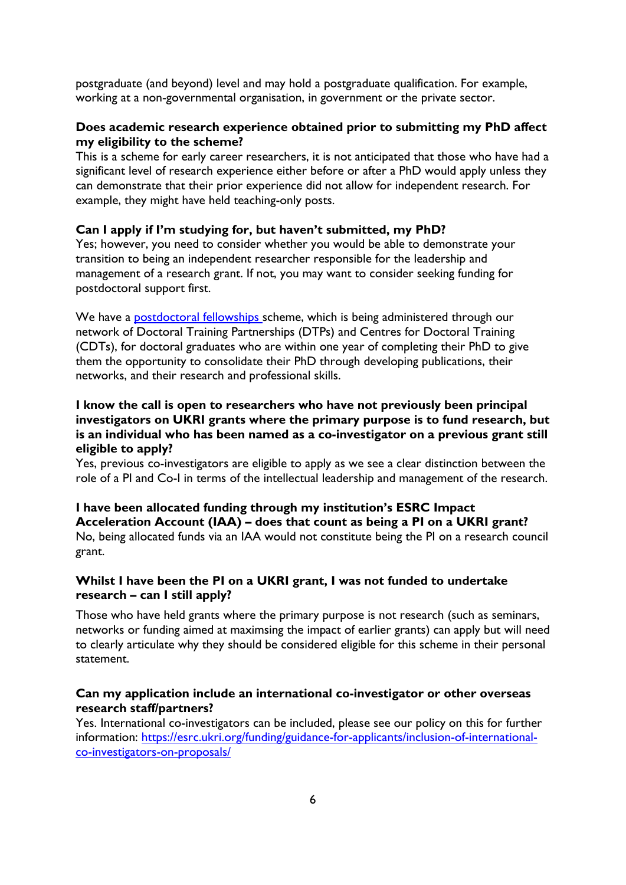postgraduate (and beyond) level and may hold a postgraduate qualification. For example, working at a non-governmental organisation, in government or the private sector.

### <span id="page-5-0"></span>**Does academic research experience obtained prior to submitting my PhD affect my eligibility to the scheme?**

This is a scheme for early career researchers, it is not anticipated that those who have had a significant level of research experience either before or after a PhD would apply unless they can demonstrate that their prior experience did not allow for independent research. For example, they might have held teaching-only posts.

#### <span id="page-5-1"></span>**Can I apply if I'm studying for, but haven't submitted, my PhD?**

Yes; however, you need to consider whether you would be able to demonstrate your transition to being an independent researcher responsible for the leadership and management of a research grant. If not, you may want to consider seeking funding for postdoctoral support first.

We have a **postdoctoral fellowships** scheme, which is being administered through our network of Doctoral Training Partnerships (DTPs) and Centres for Doctoral Training (CDTs), for doctoral graduates who are within one year of completing their PhD to give them the opportunity to consolidate their PhD through developing publications, their networks, and their research and professional skills.

## <span id="page-5-2"></span>**I know the call is open to researchers who have not previously been principal investigators on UKRI grants where the primary purpose is to fund research, but is an individual who has been named as a co-investigator on a previous grant still eligible to apply?**

Yes, previous co-investigators are eligible to apply as we see a clear distinction between the role of a PI and Co-I in terms of the intellectual leadership and management of the research.

### <span id="page-5-3"></span>**I have been allocated funding through my institution's ESRC Impact Acceleration Account (IAA) – does that count as being a PI on a UKRI grant?** No, being allocated funds via an IAA would not constitute being the PI on a research council grant.

## <span id="page-5-4"></span>**Whilst I have been the PI on a UKRI grant, I was not funded to undertake research – can I still apply?**

Those who have held grants where the primary purpose is not research (such as seminars, networks or funding aimed at maximsing the impact of earlier grants) can apply but will need to clearly articulate why they should be considered eligible for this scheme in their personal statement.

## <span id="page-5-5"></span>**Can my application include an international co-investigator or other overseas research staff/partners?**

Yes. International co-investigators can be included, please see our policy on this for further information: [https://esrc.ukri.org/funding/guidance-for-applicants/inclusion-of-international](https://esrc.ukri.org/funding/guidance-for-applicants/inclusion-of-international-co-investigators-on-proposals/)[co-investigators-on-proposals/](https://esrc.ukri.org/funding/guidance-for-applicants/inclusion-of-international-co-investigators-on-proposals/)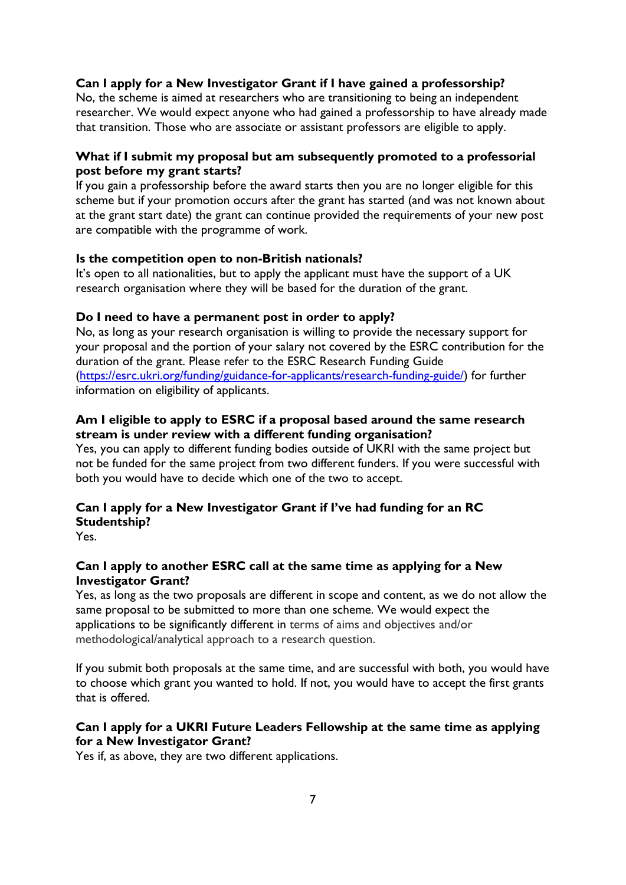## <span id="page-6-0"></span>**Can I apply for a New Investigator Grant if I have gained a professorship?**

No, the scheme is aimed at researchers who are transitioning to being an independent researcher. We would expect anyone who had gained a professorship to have already made that transition. Those who are associate or assistant professors are eligible to apply.

## <span id="page-6-1"></span>**What if I submit my proposal but am subsequently promoted to a professorial post before my grant starts?**

If you gain a professorship before the award starts then you are no longer eligible for this scheme but if your promotion occurs after the grant has started (and was not known about at the grant start date) the grant can continue provided the requirements of your new post are compatible with the programme of work.

### <span id="page-6-2"></span>**Is the competition open to non-British nationals?**

It's open to all nationalities, but to apply the applicant must have the support of a UK research organisation where they will be based for the duration of the grant.

### <span id="page-6-3"></span>**Do I need to have a permanent post in order to apply?**

No, as long as your research organisation is willing to provide the necessary support for your proposal and the portion of your salary not covered by the ESRC contribution for the duration of the grant. Please refer to the ESRC Research Funding Guide [\(https://esrc.ukri.org/funding/guidance-for-applicants/research-funding-guide/\)](https://esrc.ukri.org/funding/guidance-for-applicants/research-funding-guide/) for further information on eligibility of applicants.

## <span id="page-6-4"></span>**Am I eligible to apply to ESRC if a proposal based around the same research stream is under review with a different funding organisation?**

Yes, you can apply to different funding bodies outside of UKRI with the same project but not be funded for the same project from two different funders. If you were successful with both you would have to decide which one of the two to accept.

## <span id="page-6-5"></span>**Can I apply for a New Investigator Grant if I've had funding for an RC Studentship?**

Yes.

## <span id="page-6-6"></span>**Can I apply to another ESRC call at the same time as applying for a New Investigator Grant?**

Yes, as long as the two proposals are different in scope and content, as we do not allow the same proposal to be submitted to more than one scheme. We would expect the applications to be significantly different in terms of aims and objectives and/or methodological/analytical approach to a research question.

If you submit both proposals at the same time, and are successful with both, you would have to choose which grant you wanted to hold. If not, you would have to accept the first grants that is offered.

## **Can I apply for a UKRI Future Leaders Fellowship at the same time as applying for a New Investigator Grant?**

Yes if, as above, they are two different applications.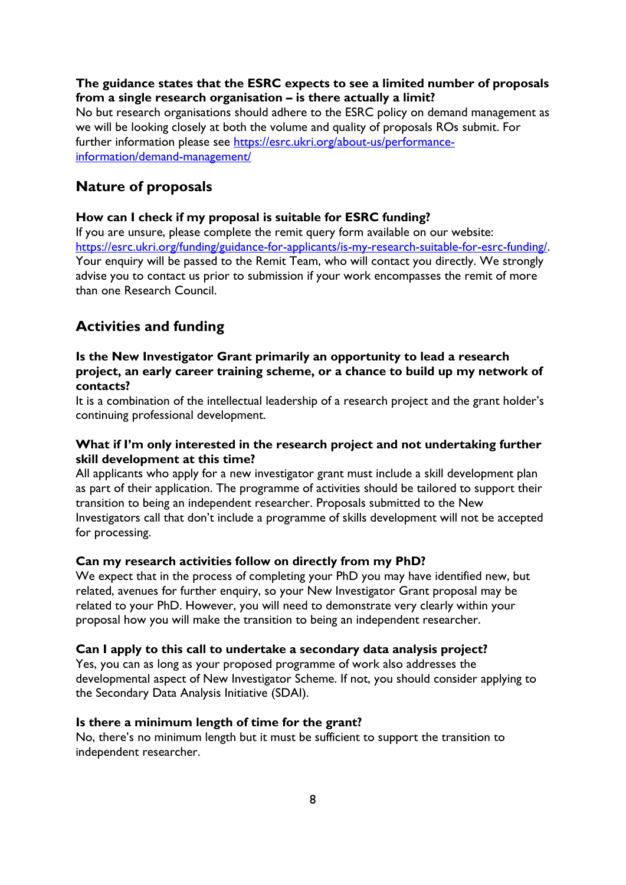## <span id="page-7-0"></span>**The guidance states that the ESRC expects to see a limited number of proposals from a single research organisation – is there actually a limit?**

No but research organisations should adhere to the ESRC policy on demand management as we will be looking closely at both the volume and quality of proposals ROs submit. For further information please see [https://esrc.ukri.org/about-us/performance](https://esrc.ukri.org/about-us/performance-information/demand-management/)[information/demand-management/](https://esrc.ukri.org/about-us/performance-information/demand-management/)

## <span id="page-7-1"></span>**Nature of proposals**

## <span id="page-7-2"></span>**How can I check if my proposal is suitable for ESRC funding?**

If you are unsure, please complete the remit query form available on our website: [https://esrc.ukri.org/funding/guidance-for-applicants/is-my-research-suitable-for-esrc-funding/.](https://esrc.ukri.org/funding/guidance-for-applicants/is-my-research-suitable-for-esrc-funding/) Your enquiry will be passed to the Remit Team, who will contact you directly. We strongly advise you to contact us prior to submission if your work encompasses the remit of more than one Research Council.

## <span id="page-7-3"></span>**Activities and funding**

## <span id="page-7-4"></span>**Is the New Investigator Grant primarily an opportunity to lead a research project, an early career training scheme, or a chance to build up my network of contacts?**

It is a combination of the intellectual leadership of a research project and the grant holder's continuing professional development.

## <span id="page-7-5"></span>**What if I'm only interested in the research project and not undertaking further skill development at this time?**

All applicants who apply for a new investigator grant must include a skill development plan as part of their application. The programme of activities should be tailored to support their transition to being an independent researcher. Proposals submitted to the New Investigators call that don't include a programme of skills development will not be accepted for processing.

## <span id="page-7-6"></span>**Can my research activities follow on directly from my PhD?**

We expect that in the process of completing your PhD you may have identified new, but related, avenues for further enquiry, so your New Investigator Grant proposal may be related to your PhD. However, you will need to demonstrate very clearly within your proposal how you will make the transition to being an independent researcher.

## <span id="page-7-7"></span>**Can I apply to this call to undertake a secondary data analysis project?**

Yes, you can as long as your proposed programme of work also addresses the developmental aspect of New Investigator Scheme. If not, you should consider applying to the Secondary Data Analysis Initiative (SDAI).

#### <span id="page-7-8"></span>**Is there a minimum length of time for the grant?**

No, there's no minimum length but it must be sufficient to support the transition to independent researcher.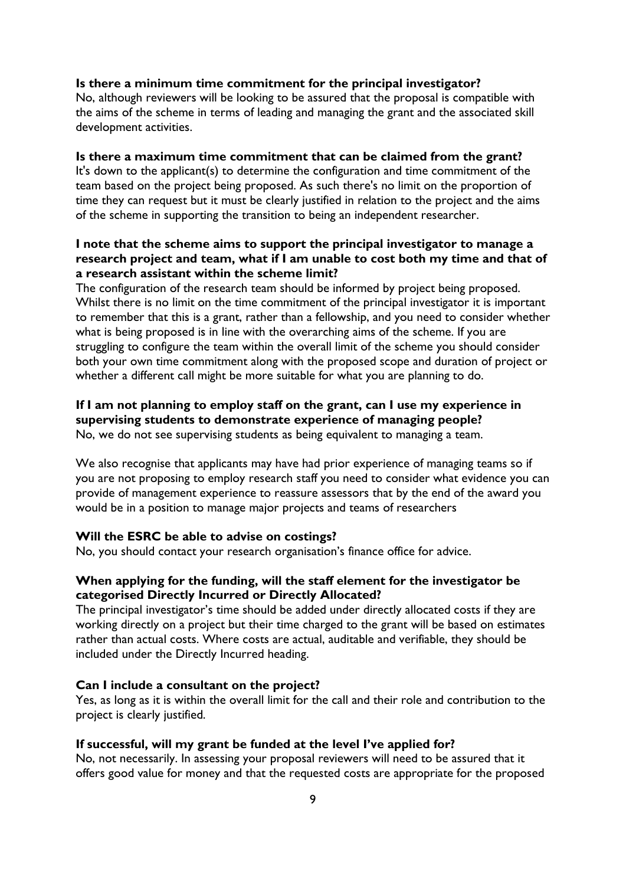#### <span id="page-8-0"></span>**Is there a minimum time commitment for the principal investigator?**

No, although reviewers will be looking to be assured that the proposal is compatible with the aims of the scheme in terms of leading and managing the grant and the associated skill development activities.

#### <span id="page-8-1"></span>**Is there a maximum time commitment that can be claimed from the grant?**

It's down to the applicant(s) to determine the configuration and time commitment of the team based on the project being proposed. As such there's no limit on the proportion of time they can request but it must be clearly justified in relation to the project and the aims of the scheme in supporting the transition to being an independent researcher.

## <span id="page-8-2"></span>**I note that the scheme aims to support the principal investigator to manage a research project and team, what if I am unable to cost both my time and that of a research assistant within the scheme limit?**

The configuration of the research team should be informed by project being proposed. Whilst there is no limit on the time commitment of the principal investigator it is important to remember that this is a grant, rather than a fellowship, and you need to consider whether what is being proposed is in line with the overarching aims of the scheme. If you are struggling to configure the team within the overall limit of the scheme you should consider both your own time commitment along with the proposed scope and duration of project or whether a different call might be more suitable for what you are planning to do.

## <span id="page-8-3"></span>**If I am not planning to employ staff on the grant, can I use my experience in supervising students to demonstrate experience of managing people?**

No, we do not see supervising students as being equivalent to managing a team.

We also recognise that applicants may have had prior experience of managing teams so if you are not proposing to employ research staff you need to consider what evidence you can provide of management experience to reassure assessors that by the end of the award you would be in a position to manage major projects and teams of researchers

#### <span id="page-8-4"></span>**Will the ESRC be able to advise on costings?**

No, you should contact your research organisation's finance office for advice.

## <span id="page-8-5"></span>**When applying for the funding, will the staff element for the investigator be categorised Directly Incurred or Directly Allocated?**

The principal investigator's time should be added under directly allocated costs if they are working directly on a project but their time charged to the grant will be based on estimates rather than actual costs. Where costs are actual, auditable and verifiable, they should be included under the Directly Incurred heading.

#### <span id="page-8-6"></span>**Can I include a consultant on the project?**

Yes, as long as it is within the overall limit for the call and their role and contribution to the project is clearly justified.

#### <span id="page-8-7"></span>**If successful, will my grant be funded at the level I've applied for?**

No, not necessarily. In assessing your proposal reviewers will need to be assured that it offers good value for money and that the requested costs are appropriate for the proposed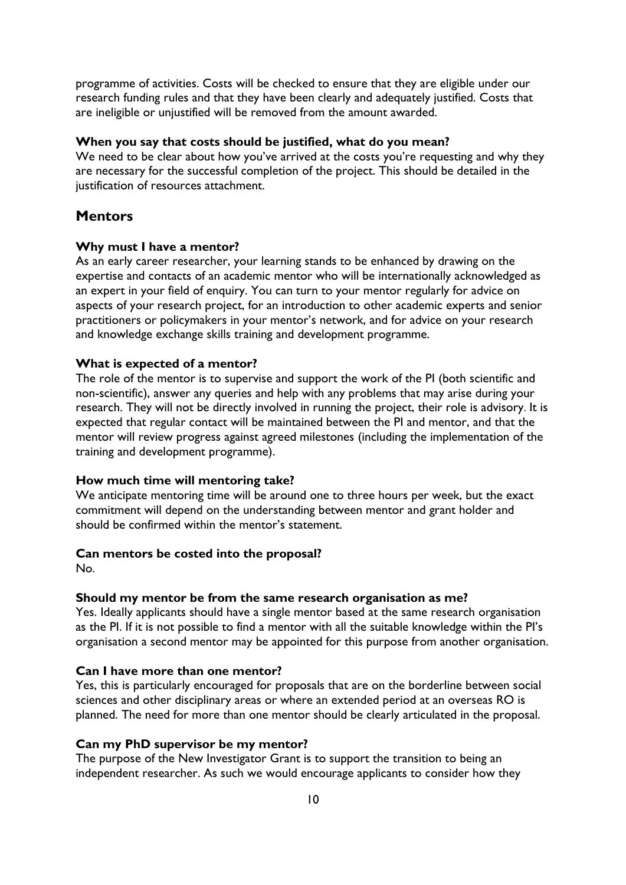programme of activities. Costs will be checked to ensure that they are eligible under our research funding rules and that they have been clearly and adequately justified. Costs that are ineligible or unjustified will be removed from the amount awarded.

### <span id="page-9-0"></span>**When you say that costs should be justified, what do you mean?**

We need to be clear about how you've arrived at the costs you're requesting and why they are necessary for the successful completion of the project. This should be detailed in the justification of resources attachment.

## <span id="page-9-1"></span>**Mentors**

#### <span id="page-9-2"></span>**Why must I have a mentor?**

As an early career researcher, your learning stands to be enhanced by drawing on the expertise and contacts of an academic mentor who will be internationally acknowledged as an expert in your field of enquiry. You can turn to your mentor regularly for advice on aspects of your research project, for an introduction to other academic experts and senior practitioners or policymakers in your mentor's network, and for advice on your research and knowledge exchange skills training and development programme.

### <span id="page-9-3"></span>**What is expected of a mentor?**

The role of the mentor is to supervise and support the work of the PI (both scientific and non-scientific), answer any queries and help with any problems that may arise during your research. They will not be directly involved in running the project, their role is advisory. It is expected that regular contact will be maintained between the PI and mentor, and that the mentor will review progress against agreed milestones (including the implementation of the training and development programme).

#### <span id="page-9-4"></span>**How much time will mentoring take?**

We anticipate mentoring time will be around one to three hours per week, but the exact commitment will depend on the understanding between mentor and grant holder and should be confirmed within the mentor's statement.

#### <span id="page-9-5"></span>**Can mentors be costed into the proposal?**

No.

#### <span id="page-9-6"></span>**Should my mentor be from the same research organisation as me?**

Yes. Ideally applicants should have a single mentor based at the same research organisation as the PI. If it is not possible to find a mentor with all the suitable knowledge within the PI's organisation a second mentor may be appointed for this purpose from another organisation.

#### <span id="page-9-7"></span>**Can I have more than one mentor?**

Yes, this is particularly encouraged for proposals that are on the borderline between social sciences and other disciplinary areas or where an extended period at an overseas RO is planned. The need for more than one mentor should be clearly articulated in the proposal.

### <span id="page-9-8"></span>**Can my PhD supervisor be my mentor?**

The purpose of the New Investigator Grant is to support the transition to being an independent researcher. As such we would encourage applicants to consider how they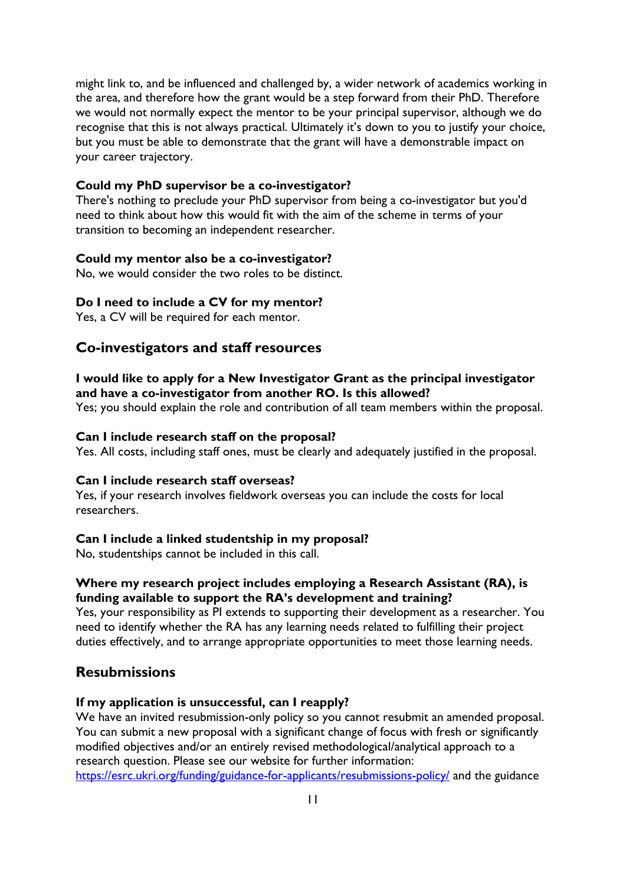might link to, and be influenced and challenged by, a wider network of academics working in the area, and therefore how the grant would be a step forward from their PhD. Therefore we would not normally expect the mentor to be your principal supervisor, although we do recognise that this is not always practical. Ultimately it's down to you to justify your choice, but you must be able to demonstrate that the grant will have a demonstrable impact on your career trajectory.

#### <span id="page-10-0"></span>**Could my PhD supervisor be a co-investigator?**

There's nothing to preclude your PhD supervisor from being a co-investigator but you'd need to think about how this would fit with the aim of the scheme in terms of your transition to becoming an independent researcher.

#### <span id="page-10-1"></span>**Could my mentor also be a co-investigator?**

No, we would consider the two roles to be distinct.

#### <span id="page-10-2"></span>**Do I need to include a CV for my mentor?**

Yes, a CV will be required for each mentor.

## <span id="page-10-3"></span>**Co-investigators and staff resources**

## <span id="page-10-4"></span>**I would like to apply for a New Investigator Grant as the principal investigator and have a co-investigator from another RO. Is this allowed?**

Yes; you should explain the role and contribution of all team members within the proposal.

#### <span id="page-10-5"></span>**Can I include research staff on the proposal?**

Yes. All costs, including staff ones, must be clearly and adequately justified in the proposal.

## <span id="page-10-6"></span>**Can I include research staff overseas?**

Yes, if your research involves fieldwork overseas you can include the costs for local researchers.

#### <span id="page-10-7"></span>**Can I include a linked studentship in my proposal?**

No, studentships cannot be included in this call.

## <span id="page-10-8"></span>**Where my research project includes employing a Research Assistant (RA), is funding available to support the RA's development and training?**

Yes, your responsibility as PI extends to supporting their development as a researcher. You need to identify whether the RA has any learning needs related to fulfilling their project duties effectively, and to arrange appropriate opportunities to meet those learning needs.

## <span id="page-10-9"></span>**Resubmissions**

#### <span id="page-10-10"></span>**If my application is unsuccessful, can I reapply?**

We have an invited resubmission-only policy so you cannot resubmit an amended proposal. You can submit a new proposal with a significant change of focus with fresh or significantly modified objectives and/or an entirely revised methodological/analytical approach to a research question. Please see our website for further information: <https://esrc.ukri.org/funding/guidance-for-applicants/resubmissions-policy/> and the guidance